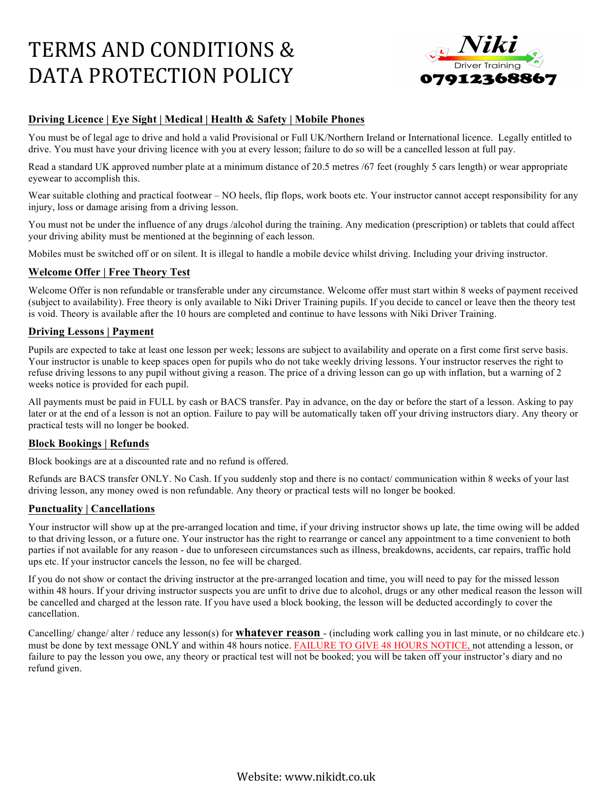# TERMS AND CONDITIONS & DATA PROTECTION POLICY



## **Driving Licence | Eye Sight | Medical | Health & Safety | Mobile Phones**

You must be of legal age to drive and hold a valid Provisional or Full UK/Northern Ireland or International licence. Legally entitled to drive. You must have your driving licence with you at every lesson; failure to do so will be a cancelled lesson at full pay.

Read a standard UK approved number plate at a minimum distance of 20.5 metres /67 feet (roughly 5 cars length) or wear appropriate eyewear to accomplish this.

Wear suitable clothing and practical footwear – NO heels, flip flops, work boots etc. Your instructor cannot accept responsibility for any injury, loss or damage arising from a driving lesson.

You must not be under the influence of any drugs /alcohol during the training. Any medication (prescription) or tablets that could affect your driving ability must be mentioned at the beginning of each lesson.

Mobiles must be switched off or on silent. It is illegal to handle a mobile device whilst driving. Including your driving instructor.

### **Welcome Offer | Free Theory Test**

Welcome Offer is non refundable or transferable under any circumstance. Welcome offer must start within 8 weeks of payment received (subject to availability). Free theory is only available to Niki Driver Training pupils. If you decide to cancel or leave then the theory test is void. Theory is available after the 10 hours are completed and continue to have lessons with Niki Driver Training.

### **Driving Lessons | Payment**

Pupils are expected to take at least one lesson per week; lessons are subject to availability and operate on a first come first serve basis. Your instructor is unable to keep spaces open for pupils who do not take weekly driving lessons. Your instructor reserves the right to refuse driving lessons to any pupil without giving a reason. The price of a driving lesson can go up with inflation, but a warning of 2 weeks notice is provided for each pupil.

All payments must be paid in FULL by cash or BACS transfer. Pay in advance, on the day or before the start of a lesson. Asking to pay later or at the end of a lesson is not an option. Failure to pay will be automatically taken off your driving instructors diary. Any theory or practical tests will no longer be booked.

### **Block Bookings | Refunds**

Block bookings are at a discounted rate and no refund is offered.

Refunds are BACS transfer ONLY. No Cash. If you suddenly stop and there is no contact/ communication within 8 weeks of your last driving lesson, any money owed is non refundable. Any theory or practical tests will no longer be booked.

## **Punctuality | Cancellations**

Your instructor will show up at the pre-arranged location and time, if your driving instructor shows up late, the time owing will be added to that driving lesson, or a future one. Your instructor has the right to rearrange or cancel any appointment to a time convenient to both parties if not available for any reason - due to unforeseen circumstances such as illness, breakdowns, accidents, car repairs, traffic hold ups etc. If your instructor cancels the lesson, no fee will be charged.

If you do not show or contact the driving instructor at the pre-arranged location and time, you will need to pay for the missed lesson within 48 hours. If your driving instructor suspects you are unfit to drive due to alcohol, drugs or any other medical reason the lesson will be cancelled and charged at the lesson rate. If you have used a block booking, the lesson will be deducted accordingly to cover the cancellation.

Cancelling/ change/ alter / reduce any lesson(s) for **whatever reason** - (including work calling you in last minute, or no childcare etc.) must be done by text message ONLY and within 48 hours notice. FAILURE TO GIVE 48 HOURS NOTICE, not attending a lesson, or failure to pay the lesson you owe, any theory or practical test will not be booked; you will be taken off your instructor's diary and no refund given.